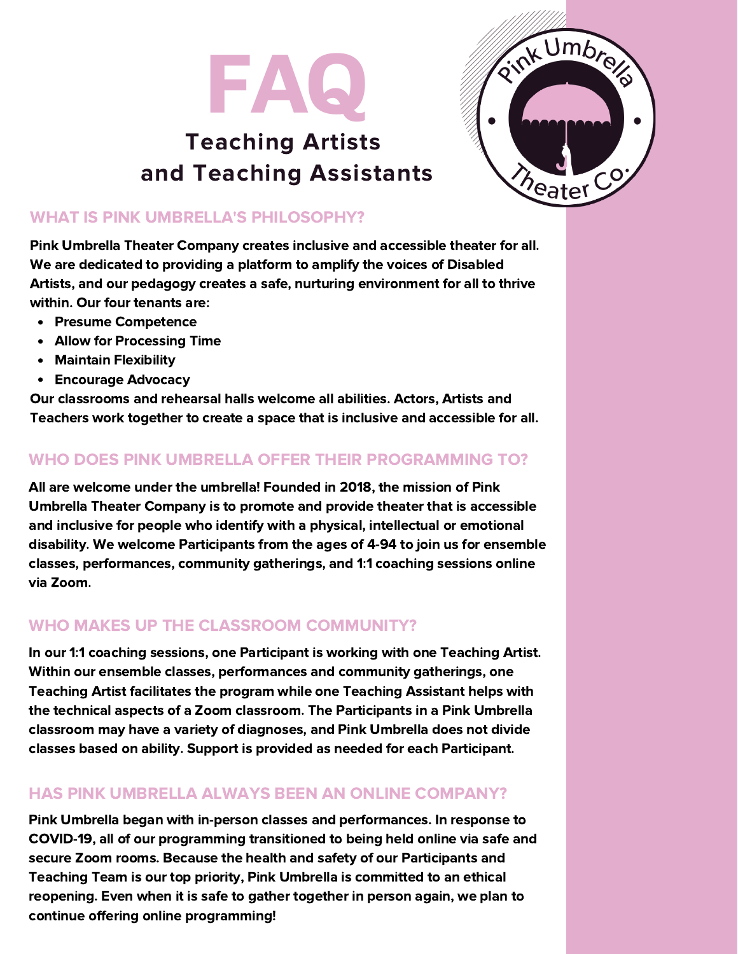

# Teaching Artists and Teaching Assistants



#### WHAT IS PINK UMBRELLA'S PHILOSOPHY?

Pink Umbrella Theater Company creates inclusive and accessible theater for all. We are dedicated to providing a platform to amplify the voices of Disabled Artists, and our pedagogy creates a safe, nurturing environment for all to thrive within. Our four tenants are:

- Presume Competence
- Allow for Processing Time  $\bullet$
- Maintain Flexibility  $\bullet$
- Encourage Advocacy

Our classrooms and rehearsal halls welcome all abilities. Actors, Artists and Teachers work together to create a space that is inclusive and accessible for all.

# WHO DOES PINK UMBRELLA OFFER THEIR PROGRAMMING TO?

All are welcome under the umbrella! Founded in 2018, the mission of Pink Umbrella Theater Company is to promote and provide theater that is accessible and inclusive for people who identify with a physical, intellectual or emotional disability. We welcome Participants from the ages of 4-94 to join us for ensemble classes, performances, community gatherings, and 1:1 coaching sessions online via Zoom.

# WHO MAKES UP THE CLASSROOM COMMUNITY?

In our 1:1 coaching sessions, one Participant is working with one Teaching Artist. Within our ensemble classes, performances and community gatherings, one Teaching Artist facilitates the program while one Teaching Assistant helps with the technical aspects of a Zoom classroom. The Participants in a Pink Umbrella classroom may have a variety of diagnoses, and Pink Umbrella does not divide classes based on ability. Support is provided as needed for each Participant.

#### HAS PINK UMBRELLA ALWAYS BEEN AN ONLINE COMPANY?

Pink Umbrella began with in-person classes and performances. In response to COVID-19, all of our programming transitioned to being held online via safe and secure Zoom rooms. Because the health and safety of our Participants and Teaching Team is our top priority, Pink Umbrella is committed to an ethical reopening. Even when it is safe to gather together in person again, we plan to continue offering online programming!